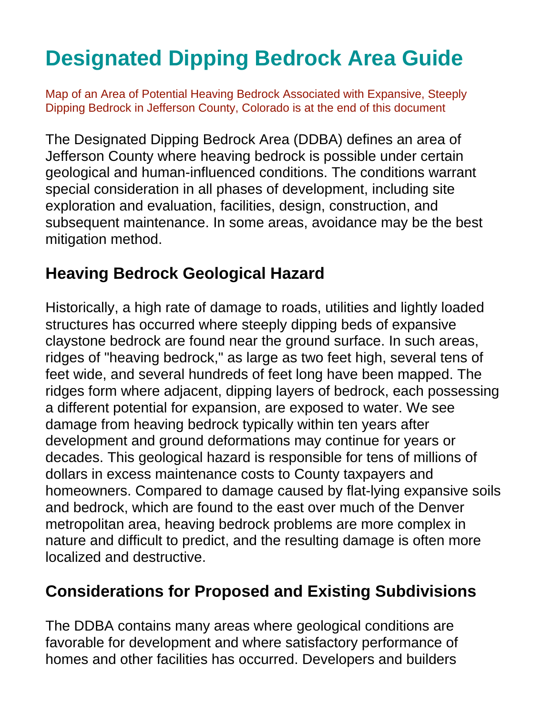# **Designated Dipping Bedrock Area Guide**

Map of an Area of Potential Heaving Bedrock Associated with Expansive, Steeply Dipping Bedrock in Jefferson County, Colorado is at the end of this document

The Designated Dipping Bedrock Area (DDBA) defines an area of Jefferson County where heaving bedrock is possible under certain geological and human-influenced conditions. The conditions warrant special consideration in all phases of development, including site exploration and evaluation, facilities, design, construction, and subsequent maintenance. In some areas, avoidance may be the best mitigation method.

## **Heaving Bedrock Geological Hazard**

Historically, a high rate of damage to roads, utilities and lightly loaded structures has occurred where steeply dipping beds of expansive claystone bedrock are found near the ground surface. In such areas, ridges of "heaving bedrock," as large as two feet high, several tens of feet wide, and several hundreds of feet long have been mapped. The ridges form where adjacent, dipping layers of bedrock, each possessing a different potential for expansion, are exposed to water. We see damage from heaving bedrock typically within ten years after development and ground deformations may continue for years or decades. This geological hazard is responsible for tens of millions of dollars in excess maintenance costs to County taxpayers and homeowners. Compared to damage caused by flat-lying expansive soils and bedrock, which are found to the east over much of the Denver metropolitan area, heaving bedrock problems are more complex in nature and difficult to predict, and the resulting damage is often more localized and destructive.

# **Considerations for Proposed and Existing Subdivisions**

The DDBA contains many areas where geological conditions are favorable for development and where satisfactory performance of homes and other facilities has occurred. Developers and builders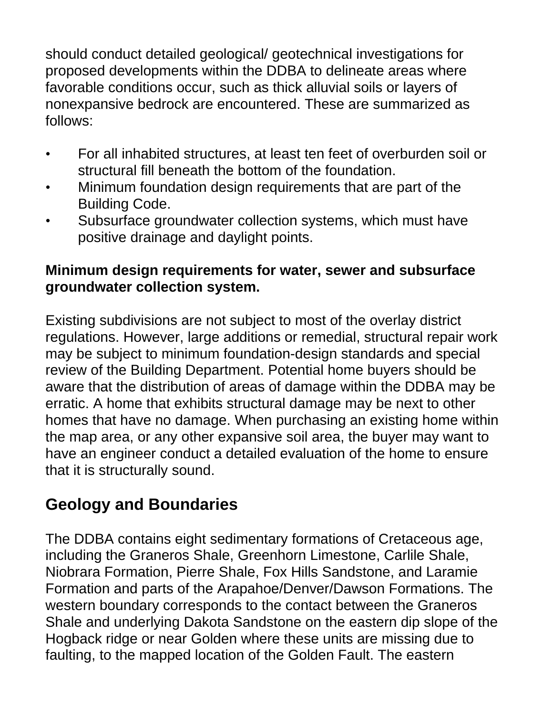should conduct detailed geological/ geotechnical investigations for proposed developments within the DDBA to delineate areas where favorable conditions occur, such as thick alluvial soils or layers of nonexpansive bedrock are encountered. These are summarized as follows:

- For all inhabited structures, at least ten feet of overburden soil or structural fill beneath the bottom of the foundation.
- Minimum foundation design requirements that are part of the Building Code.
- Subsurface groundwater collection systems, which must have positive drainage and daylight points.

#### **Minimum design requirements for water, sewer and subsurface groundwater collection system.**

Existing subdivisions are not subject to most of the overlay district regulations. However, large additions or remedial, structural repair work may be subject to minimum foundation-design standards and special review of the Building Department. Potential home buyers should be aware that the distribution of areas of damage within the DDBA may be erratic. A home that exhibits structural damage may be next to other homes that have no damage. When purchasing an existing home within the map area, or any other expansive soil area, the buyer may want to have an engineer conduct a detailed evaluation of the home to ensure that it is structurally sound.

# **Geology and Boundaries**

The DDBA contains eight sedimentary formations of Cretaceous age, including the Graneros Shale, Greenhorn Limestone, Carlile Shale, Niobrara Formation, Pierre Shale, Fox Hills Sandstone, and Laramie Formation and parts of the Arapahoe/Denver/Dawson Formations. The western boundary corresponds to the contact between the Graneros Shale and underlying Dakota Sandstone on the eastern dip slope of the Hogback ridge or near Golden where these units are missing due to faulting, to the mapped location of the Golden Fault. The eastern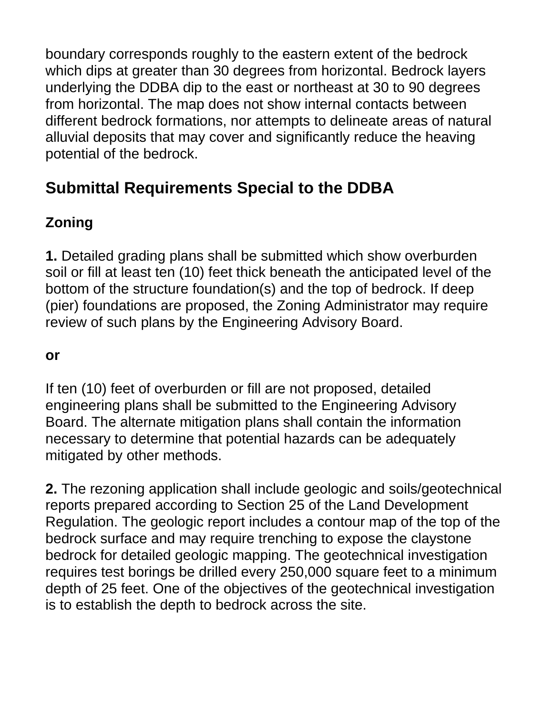boundary corresponds roughly to the eastern extent of the bedrock which dips at greater than 30 degrees from horizontal. Bedrock layers underlying the DDBA dip to the east or northeast at 30 to 90 degrees from horizontal. The map does not show internal contacts between different bedrock formations, nor attempts to delineate areas of natural alluvial deposits that may cover and significantly reduce the heaving potential of the bedrock.

# **Submittal Requirements Special to the DDBA**

## **Zoning**

**1.** Detailed grading plans shall be submitted which show overburden soil or fill at least ten (10) feet thick beneath the anticipated level of the bottom of the structure foundation(s) and the top of bedrock. If deep (pier) foundations are proposed, the Zoning Administrator may require review of such plans by the Engineering Advisory Board.

#### **or**

If ten (10) feet of overburden or fill are not proposed, detailed engineering plans shall be submitted to the Engineering Advisory Board. The alternate mitigation plans shall contain the information necessary to determine that potential hazards can be adequately mitigated by other methods.

**2.** The rezoning application shall include geologic and soils/geotechnical reports prepared according to Section 25 of the Land Development Regulation. The geologic report includes a contour map of the top of the bedrock surface and may require trenching to expose the claystone bedrock for detailed geologic mapping. The geotechnical investigation requires test borings be drilled every 250,000 square feet to a minimum depth of 25 feet. One of the objectives of the geotechnical investigation is to establish the depth to bedrock across the site.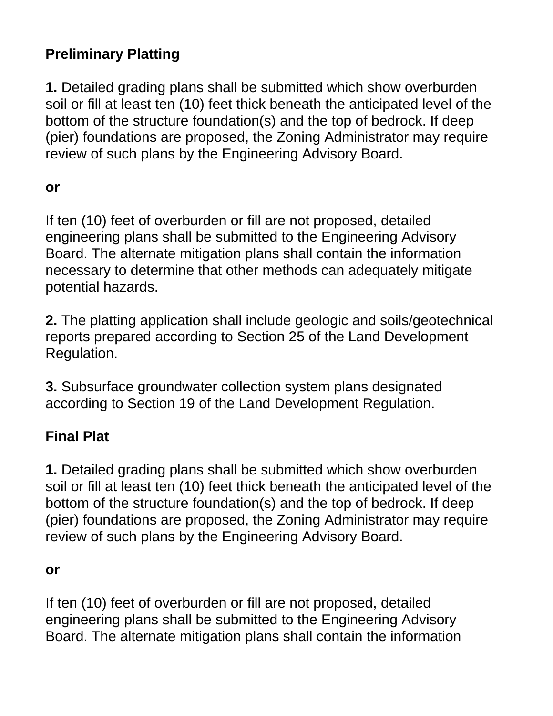## **Preliminary Platting**

**1.** Detailed grading plans shall be submitted which show overburden soil or fill at least ten (10) feet thick beneath the anticipated level of the bottom of the structure foundation(s) and the top of bedrock. If deep (pier) foundations are proposed, the Zoning Administrator may require review of such plans by the Engineering Advisory Board.

#### **or**

If ten (10) feet of overburden or fill are not proposed, detailed engineering plans shall be submitted to the Engineering Advisory Board. The alternate mitigation plans shall contain the information necessary to determine that other methods can adequately mitigate potential hazards.

**2.** The platting application shall include geologic and soils/geotechnical reports prepared according to Section 25 of the Land Development Regulation.

**3.** Subsurface groundwater collection system plans designated according to Section 19 of the Land Development Regulation.

## **Final Plat**

**1.** Detailed grading plans shall be submitted which show overburden soil or fill at least ten (10) feet thick beneath the anticipated level of the bottom of the structure foundation(s) and the top of bedrock. If deep (pier) foundations are proposed, the Zoning Administrator may require review of such plans by the Engineering Advisory Board.

#### **or**

If ten (10) feet of overburden or fill are not proposed, detailed engineering plans shall be submitted to the Engineering Advisory Board. The alternate mitigation plans shall contain the information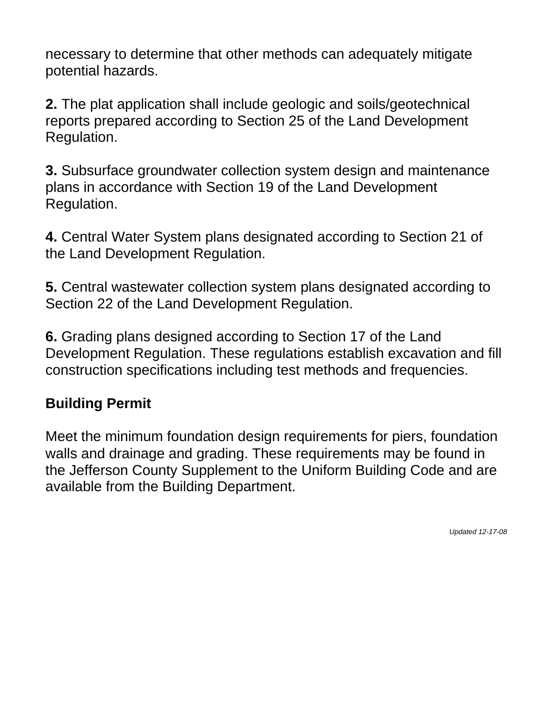necessary to determine that other methods can adequately mitigate potential hazards.

**2.** The plat application shall include geologic and soils/geotechnical reports prepared according to Section 25 of the Land Development Regulation.

**3.** Subsurface groundwater collection system design and maintenance plans in accordance with Section 19 of the Land Development Regulation.

**4.** Central Water System plans designated according to Section 21 of the Land Development Regulation.

**5.** Central wastewater collection system plans designated according to Section 22 of the Land Development Regulation.

**6.** Grading plans designed according to Section 17 of the Land Development Regulation. These regulations establish excavation and fill construction specifications including test methods and frequencies.

## **Building Permit**

Meet the minimum foundation design requirements for piers, foundation walls and drainage and grading. These requirements may be found in the Jefferson County Supplement to the Uniform Building Code and are available from the Building Department.

*Updated 12-17-08*